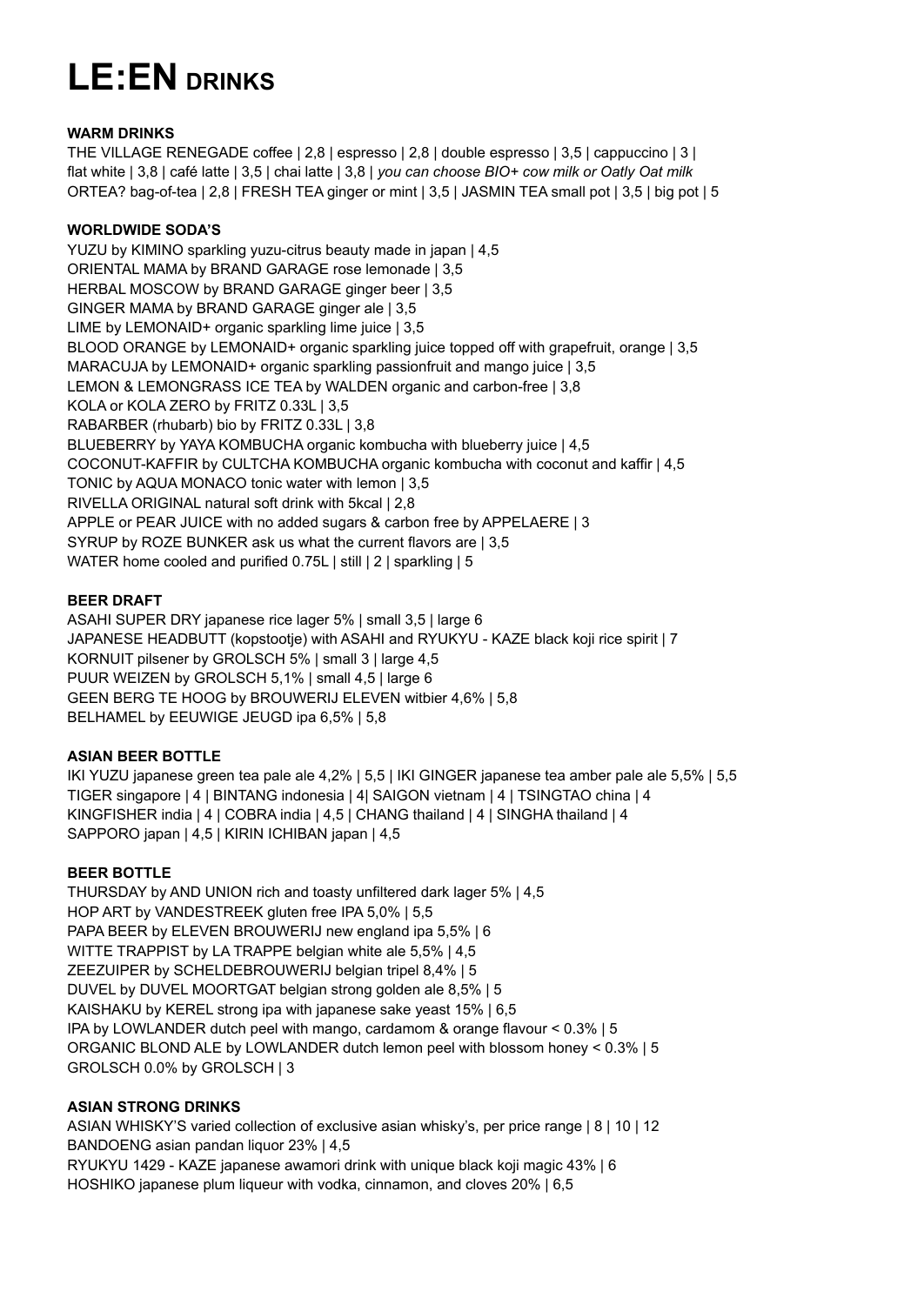# **LE:EN DRINKS**

## **WARM DRINKS**

THE VILLAGE RENEGADE coffee | 2,8 | espresso | 2,8 | double espresso | 3,5 | cappuccino | 3 | flat white | 3,8 | café latte | 3,5 | chai latte | 3,8 | *you can choose BIO+ cow milk or Oatly Oat milk* ORTEA? bag-of-tea | 2,8 | FRESH TEA ginger or mint | 3,5 | JASMIN TEA small pot | 3,5 | big pot | 5

## **WORLDWIDE SODA'S**

YUZU by KIMINO sparkling yuzu-citrus beauty made in japan | 4,5 ORIENTAL MAMA by BRAND GARAGE rose lemonade | 3.5 HERBAL MOSCOW by BRAND GARAGE ginger beer | 3,5 GINGER MAMA by BRAND GARAGE ginger ale | 3,5 LIME by LEMONAID+ organic sparkling lime juice | 3,5 BLOOD ORANGE by LEMONAID+ organic sparkling juice topped off with grapefruit, orange | 3,5 MARACUJA by LEMONAID+ organic sparkling passionfruit and mango juice | 3,5 LEMON & LEMONGRASS ICE TEA by WALDEN organic and carbon-free | 3,8 KOLA or KOLA ZERO by FRITZ 0.33L | 3,5 RABARBER (rhubarb) bio by FRITZ 0.33L | 3,8 BLUEBERRY by YAYA KOMBUCHA organic kombucha with blueberry juice | 4,5 COCONUT-KAFFIR by CULTCHA KOMBUCHA organic kombucha with coconut and kaffir | 4,5 TONIC by AQUA MONACO tonic water with lemon | 3,5 RIVELLA ORIGINAL natural soft drink with 5kcal | 2,8 APPLE or PEAR JUICE with no added sugars & carbon free by APPELAERE | 3 SYRUP by ROZE BUNKER ask us what the current flavors are | 3,5 WATER home cooled and purified 0.75L | still | 2 | sparkling | 5

# **BEER DRAFT**

ASAHI SUPER DRY japanese rice lager 5% | small 3,5 | large 6 JAPANESE HEADBUTT (kopstootje) with ASAHI and RYUKYU - KAZE black koji rice spirit | 7 KORNUIT pilsener by GROLSCH 5% | small 3 | large 4,5 PUUR WEIZEN by GROLSCH 5,1% | small 4,5 | large 6 GEEN BERG TE HOOG by BROUWERIJ ELEVEN witbier 4,6% | 5,8 BELHAMEL by EEUWIGE JEUGD ipa 6,5% | 5,8

# **ASIAN BEER BOTTLE**

IKI YUZU japanese green tea pale ale 4,2% | 5,5 | IKI GINGER japanese tea amber pale ale 5,5% | 5,5 TIGER singapore | 4 | BINTANG indonesia | 4| SAIGON vietnam | 4 | TSINGTAO china | 4 KINGFISHER india | 4 | COBRA india | 4,5 | CHANG thailand | 4 | SINGHA thailand | 4 SAPPORO japan | 4,5 | KIRIN ICHIBAN japan | 4,5

# **BEER BOTTLE**

THURSDAY by AND UNION rich and toasty unfiltered dark lager 5% | 4,5 HOP ART by VANDESTREEK gluten free IPA 5,0% | 5,5 PAPA BEER by ELEVEN BROUWERIJ new england ipa 5,5% | 6 WITTE TRAPPIST by LA TRAPPE belgian white ale 5,5% | 4,5 ZEEZUIPER by SCHELDEBROUWERIJ belgian tripel 8,4% | 5 DUVEL by DUVEL MOORTGAT belgian strong golden ale 8,5% | 5 KAISHAKU by KEREL strong ipa with japanese sake yeast 15% | 6,5 IPA by LOWLANDER dutch peel with mango, cardamom & orange flavour < 0.3% | 5 ORGANIC BLOND ALE by LOWLANDER dutch lemon peel with blossom honey < 0.3% | 5 GROLSCH 0.0% by GROLSCH | 3

# **ASIAN STRONG DRINKS**

ASIAN WHISKY'S varied collection of exclusive asian whisky's, per price range | 8 | 10 | 12 BANDOENG asian pandan liquor 23% | 4,5

RYUKYU 1429 - KAZE japanese awamori drink with unique black koji magic 43% | 6 HOSHIKO japanese plum liqueur with vodka, cinnamon, and cloves 20% | 6,5